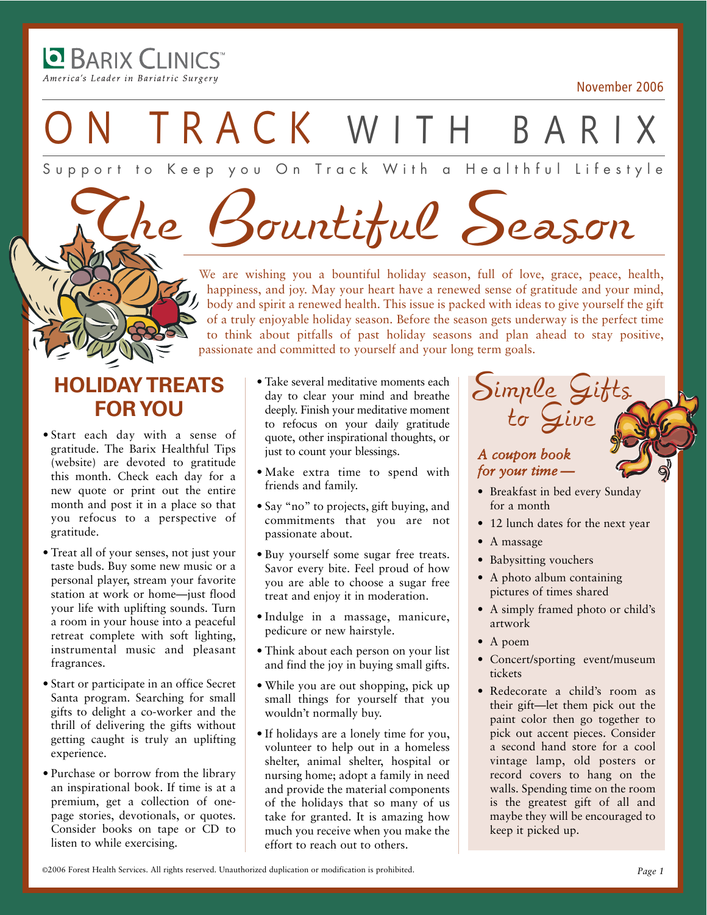**BARIX CLINICS** America's Leader in Bariatric Surgery

-

November 2006

TRACK WITH BAR

Support to Keep you On Track With a Healthful Lifestyle

The Bountiful Season

We are wishing you a bountiful holiday season, full of love, grace, peace, health, happiness, and joy. May your heart have a renewed sense of gratitude and your mind, body and spirit a renewed health. This issue is packed with ideas to give yourself the gift of a truly enjoyable holiday season. Before the season gets underway is the perfect time to think about pitfalls of past holiday seasons and plan ahead to stay positive, passionate and committed to yourself and your long term goals.

# **HOLIDAY TREATS FOR YOU**

- *•* Start each day with a sense of gratitude. The Barix Healthful Tips (website) are devoted to gratitude this month. Check each day for a new quote or print out the entire month and post it in a place so that you refocus to a perspective of gratitude.
- Treat all of your senses, not just your taste buds. Buy some new music or a personal player, stream your favorite station at work or home—just flood your life with uplifting sounds. Turn a room in your house into a peaceful retreat complete with soft lighting, instrumental music and pleasant fragrances.
- Start or participate in an office Secret Santa program. Searching for small gifts to delight a co-worker and the thrill of delivering the gifts without getting caught is truly an uplifting experience.
- Purchase or borrow from the library an inspirational book. If time is at a premium, get a collection of onepage stories, devotionals, or quotes. Consider books on tape or CD to listen to while exercising.
- Take several meditative moments each day to clear your mind and breathe deeply. Finish your meditative moment to refocus on your daily gratitude quote, other inspirational thoughts, or just to count your blessings.
- Make extra time to spend with friends and family.
- Say "no" to projects, gift buying, and commitments that you are not passionate about.
- Buy yourself some sugar free treats. Savor every bite. Feel proud of how you are able to choose a sugar free treat and enjoy it in moderation.
- Indulge in a massage, manicure, pedicure or new hairstyle.
- Think about each person on your list and find the joy in buying small gifts.
- While you are out shopping, pick up small things for yourself that you wouldn't normally buy.
- If holidays are a lonely time for you, volunteer to help out in a homeless shelter, animal shelter, hospital or nursing home; adopt a family in need and provide the material components of the holidays that so many of us take for granted. It is amazing how much you receive when you make the effort to reach out to others.

*A coupon book for your time —*  Simple Gitts

- Breakfast in bed every Sunday for a month
- 12 lunch dates for the next year
- A massage
- Babysitting vouchers
- A photo album containing pictures of times shared
- A simply framed photo or child's artwork
- A poem
- Concert/sporting event/museum tickets
- Redecorate a child's room as their gift—let them pick out the paint color then go together to pick out accent pieces. Consider a second hand store for a cool vintage lamp, old posters or record covers to hang on the walls. Spending time on the room is the greatest gift of all and maybe they will be encouraged to keep it picked up.

©2006 Forest Health Services. All rights reserved. Unauthorized duplication or modification is prohibited.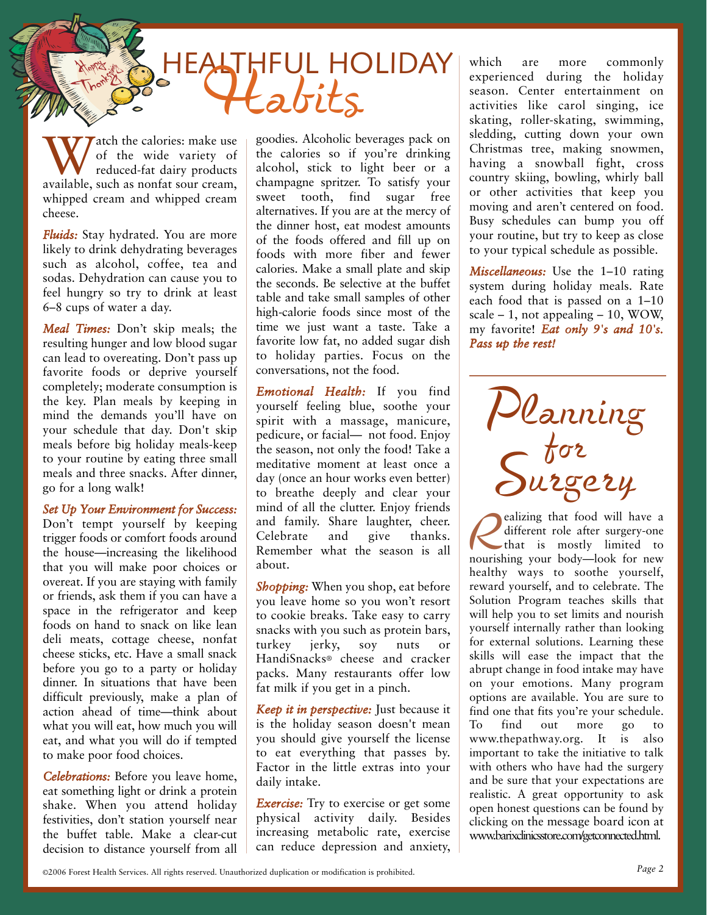

Watch the calories: make use<br>
of the wide variety of<br>
reduced-fat dairy products<br>
available, such as nonfat sour cream, of the wide variety of reduced-fat dairy products whipped cream and whipped cream cheese.

*Fluids:* Stay hydrated. You are more likely to drink dehydrating beverages such as alcohol, coffee, tea and sodas. Dehydration can cause you to feel hungry so try to drink at least 6–8 cups of water a day.

*Meal Times:* Don't skip meals; the resulting hunger and low blood sugar can lead to overeating. Don't pass up favorite foods or deprive yourself completely; moderate consumption is the key. Plan meals by keeping in mind the demands you'll have on your schedule that day. Don't skip meals before big holiday meals-keep to your routine by eating three small meals and three snacks. After dinner, go for a long walk!

*Set Up Your Environment for Success:* Don't tempt yourself by keeping trigger foods or comfort foods around the house—increasing the likelihood that you will make poor choices or overeat. If you are staying with family or friends, ask them if you can have a space in the refrigerator and keep foods on hand to snack on like lean deli meats, cottage cheese, nonfat cheese sticks, etc. Have a small snack before you go to a party or holiday dinner. In situations that have been difficult previously, make a plan of action ahead of time—think about what you will eat, how much you will eat, and what you will do if tempted to make poor food choices.

*Celebrations:* Before you leave home, eat something light or drink a protein shake. When you attend holiday festivities, don't station yourself near the buffet table. Make a clear-cut decision to distance yourself from all goodies. Alcoholic beverages pack on the calories so if you're drinking alcohol, stick to light beer or a champagne spritzer. To satisfy your sweet tooth, find sugar free alternatives. If you are at the mercy of the dinner host, eat modest amounts of the foods offered and fill up on foods with more fiber and fewer calories. Make a small plate and skip the seconds. Be selective at the buffet table and take small samples of other high-calorie foods since most of the time we just want a taste. Take a favorite low fat, no added sugar dish to holiday parties. Focus on the conversations, not the food.

*Emotional Health:* If you find yourself feeling blue, soothe your spirit with a massage, manicure, pedicure, or facial— not food. Enjoy the season, not only the food! Take a meditative moment at least once a day (once an hour works even better) to breathe deeply and clear your mind of all the clutter. Enjoy friends and family. Share laughter, cheer.<br>Celebrate and give thanks. Celebrate and give thanks. Remember what the season is all about.

*Shopping:* When you shop, eat before you leave home so you won't resort to cookie breaks. Take easy to carry snacks with you such as protein bars, turkey jerky, soy nuts or HandiSnacks® cheese and cracker packs. Many restaurants offer low fat milk if you get in a pinch.

*Keep it in perspective:* Just because it is the holiday season doesn't mean you should give yourself the license to eat everything that passes by. Factor in the little extras into your daily intake.

*Exercise:* Try to exercise or get some physical activity daily. Besides increasing metabolic rate, exercise can reduce depression and anxiety,

which are more commonly experienced during the holiday season. Center entertainment on activities like carol singing, ice skating, roller-skating, swimming, sledding, cutting down your own Christmas tree, making snowmen, having a snowball fight, cross country skiing, bowling, whirly ball or other activities that keep you moving and aren't centered on food. Busy schedules can bump you off your routine, but try to keep as close to your typical schedule as possible.

*Miscellaneous:* Use the 1–10 rating system during holiday meals. Rate each food that is passed on a 1–10 scale – 1, not appealing – 10, WOW, my favorite! *Eat only 9's and 10's. Pass up the rest!* 



**C**ealizing that food will have a different role after surgery-one that is mostly limited to nourishing your body-look for new different role after surgery-one that is mostly limited to healthy ways to soothe yourself, reward yourself, and to celebrate. The Solution Program teaches skills that will help you to set limits and nourish yourself internally rather than looking for external solutions. Learning these skills will ease the impact that the abrupt change in food intake may have on your emotions. Many program options are available. You are sure to find one that fits you're your schedule. To find out more go to www.thepathway.org. It is also important to take the initiative to talk with others who have had the surgery and be sure that your expectations are realistic. A great opportunity to ask open honest questions can be found by clicking on the message board icon at www.barixclinicsstore.com/getconnected.html.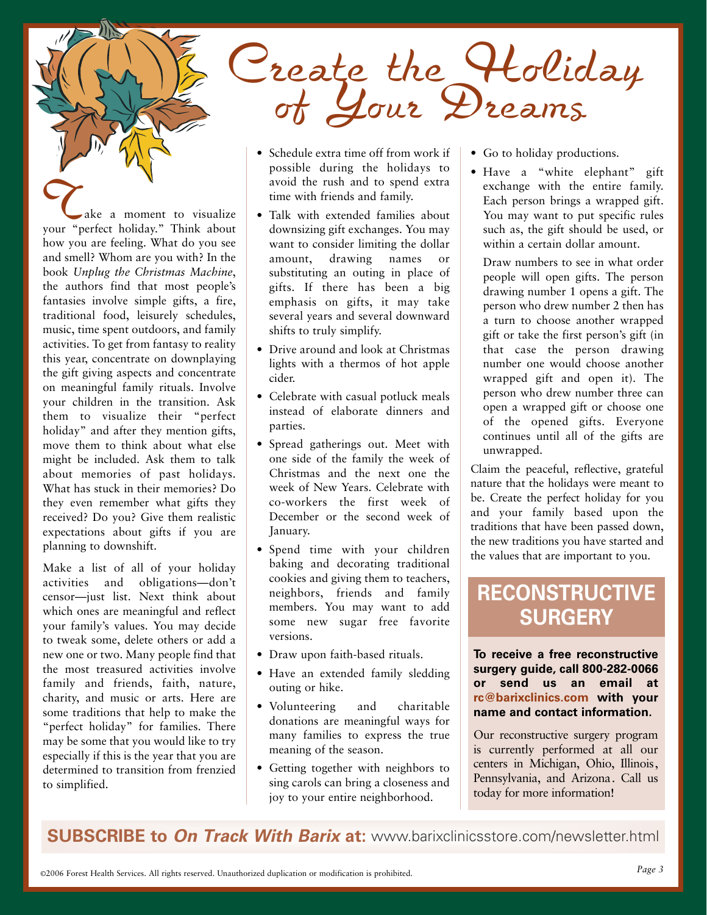

how you are feeling. What do you see and smell? Whom are you with? In the book *Unplug the Christmas Machine*, the authors find that most people's fantasies involve simple gifts, a fire, traditional food, leisurely schedules, music, time spent outdoors, and family activities. To get from fantasy to reality this year, concentrate on downplaying the gift giving aspects and concentrate on meaningful family rituals. Involve your children in the transition. Ask them to visualize their "perfect holiday" and after they mention gifts, move them to think about what else might be included. Ask them to talk about memories of past holidays. What has stuck in their memories? Do they even remember what gifts they received? Do you? Give them realistic expectations about gifts if you are planning to downshift.

Make a list of all of your holiday activities and obligations—don't censor—just list. Next think about which ones are meaningful and reflect your family's values. You may decide to tweak some, delete others or add a new one or two. Many people find that the most treasured activities involve family and friends, faith, nature, charity, and music or arts. Here are some traditions that help to make the "perfect holiday" for families. There may be some that you would like to try especially if this is the year that you are determined to transition from frenzied to simplified.

Create the Holiday

- Schedule extra time off from work if possible during the holidays to avoid the rush and to spend extra time with friends and family.
- Talk with extended families about downsizing gift exchanges. You may want to consider limiting the dollar amount, drawing names or substituting an outing in place of gifts. If there has been a big emphasis on gifts, it may take several years and several downward shifts to truly simplify.
- Drive around and look at Christmas lights with a thermos of hot apple cider.
- Celebrate with casual potluck meals instead of elaborate dinners and parties.
- Spread gatherings out. Meet with one side of the family the week of Christmas and the next one the week of New Years. Celebrate with co-workers the first week of December or the second week of January.
- Spend time with your children baking and decorating traditional cookies and giving them to teachers, neighbors, friends and family members. You may want to add some new sugar free favorite versions.
- Draw upon faith-based rituals.
- Have an extended family sledding outing or hike.
- Volunteering and charitable donations are meaningful ways for many families to express the true meaning of the season.
- Getting together with neighbors to sing carols can bring a closeness and joy to your entire neighborhood.
- Go to holiday productions.
- Have a "white elephant" gift exchange with the entire family. Each person brings a wrapped gift. You may want to put specific rules such as, the gift should be used, or within a certain dollar amount.

Draw numbers to see in what order people will open gifts. The person drawing number 1 opens a gift. The person who drew number 2 then has a turn to choose another wrapped gift or take the first person's gift (in that case the person drawing number one would choose another wrapped gift and open it). The person who drew number three can open a wrapped gift or choose one of the opened gifts. Everyone continues until all of the gifts are unwrapped.

Claim the peaceful, reflective, grateful nature that the holidays were meant to be. Create the perfect holiday for you and your family based upon the traditions that have been passed down, the new traditions you have started and the values that are important to you.

# **RECONSTRUCTIVE SURGERY**

**To receive a free reconstructive surgery guide, call 8002820066 or send us an email at rc@barixclinics.com with your name and contact information.**

Our reconstructive surgery program is currently performed at all our centers in Michigan, Ohio, Illinois, Pennsylvania, and Arizona. Call us today for more information!

**SUBSCRIBE to On Track With Barix at:** www.barixclinicsstore.com/newsletter.html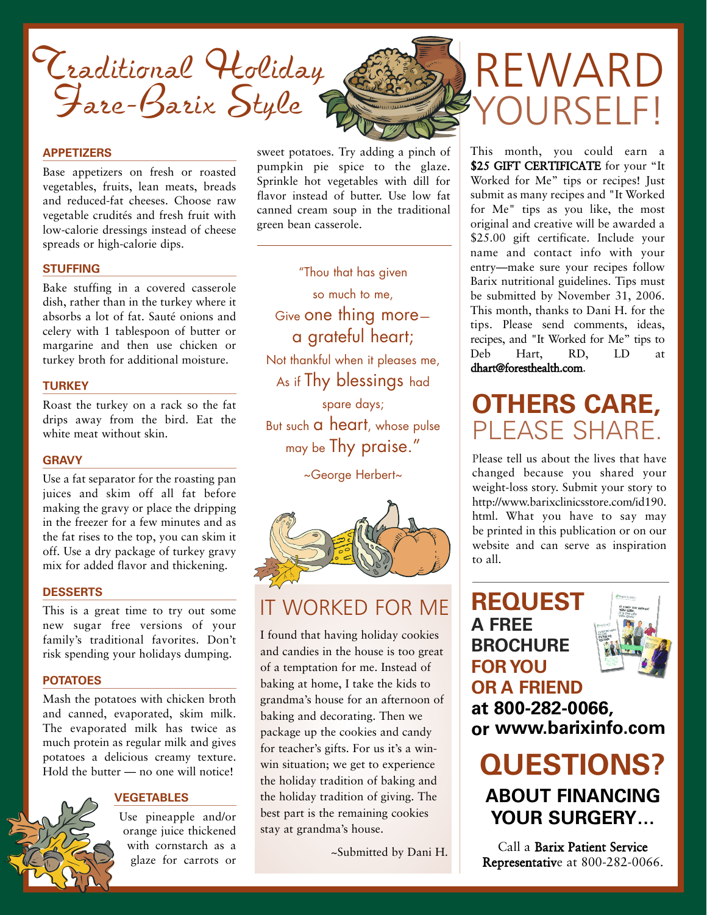

# **APPETIZERS**

Base appetizers on fresh or roasted vegetables, fruits, lean meats, breads and reduced-fat cheeses. Choose raw vegetable crudités and fresh fruit with low-calorie dressings instead of cheese spreads or high-calorie dips.

#### **STUFFING**

Bake stuffing in a covered casserole dish, rather than in the turkey where it absorbs a lot of fat. Sauté onions and celery with 1 tablespoon of butter or margarine and then use chicken or turkey broth for additional moisture.

#### **TURKEY**

Roast the turkey on a rack so the fat drips away from the bird. Eat the white meat without skin.

## **GRAVY**

Use a fat separator for the roasting pan juices and skim off all fat before making the gravy or place the dripping in the freezer for a few minutes and as the fat rises to the top, you can skim it off. Use a dry package of turkey gravy mix for added flavor and thickening.

#### **DESSERTS**

This is a great time to try out some new sugar free versions of your family's traditional favorites. Don't risk spending your holidays dumping.

### **POTATOES**

Mash the potatoes with chicken broth and canned, evaporated, skim milk. The evaporated milk has twice as much protein as regular milk and gives potatoes a delicious creamy texture. Hold the butter — no one will notice!

#### **VEGETABLES**

Use pineapple and/or orange juice thickened with cornstarch as a glaze for carrots or sweet potatoes. Try adding a pinch of pumpkin pie spice to the glaze. Sprinkle hot vegetables with dill for flavor instead of butter. Use low fat canned cream soup in the traditional green bean casserole.

"Thou that has given so much to me, Give one thing more a grateful heart;

Not thankful when it pleases me, As if Thy blessings had

spare days; But such **a** heart, whose pulse may be Thy praise."

~George Herbert~



# IT WORKED FOR ME

I found that having holiday cookies and candies in the house is too great of a temptation for me. Instead of baking at home, I take the kids to grandma's house for an afternoon of baking and decorating. Then we package up the cookies and candy for teacher's gifts. For us it's a winwin situation; we get to experience the holiday tradition of baking and the holiday tradition of giving. The best part is the remaining cookies stay at grandma's house.

~Submitted by Dani H.

This month, you could earn a \$25 GIFT CERTIFICATE for your "It Worked for Me" tips or recipes! Just submit as many recipes and "It Worked for Me" tips as you like, the most original and creative will be awarded a \$25.00 gift certificate. Include your name and contact info with your entry—make sure your recipes follow Barix nutritional guidelines. Tips must be submitted by November 31, 2006. This month, thanks to Dani H. for the tips. Please send comments, ideas, recipes, and "It Worked for Me" tips to Deb Hart, RD, LD at dhart@foresthealth.com.

REWARD

ILIRSELEI

# **OTHERS CARE,** PLEASE SHARE.

Please tell us about the lives that have changed because you shared your weight-loss story. Submit your story to http://www.barixclinicsstore.com/id190. html. What you have to say may be printed in this publication or on our website and can serve as inspiration to all.

**REQUEST A FREE BROCHURE FOR YOU** 



**OR A FRIEND at 8002820066, or www.barixinfo.com**

# **QUESTIONS? ABOUT FINANCING YOUR SURGERY…**

Call a Barix Patient Service Representative at 800-282-0066.